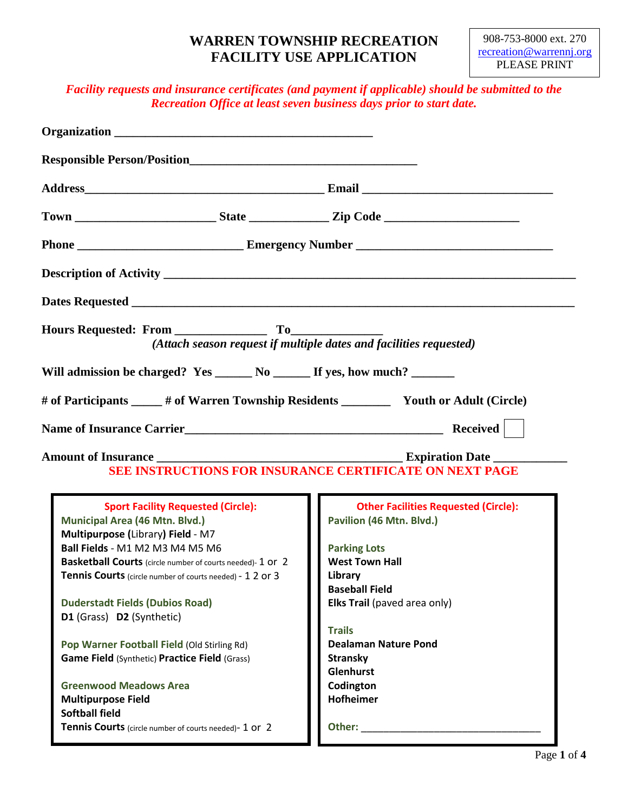### **WARREN TOWNSHIP RECREATION FACILITY USE APPLICATION**

### *Facility requests and insurance certificates (and payment if applicable) should be submitted to the Recreation Office at least seven business days prior to start date.*

|                                                                                                                                                                                                                                                                                                                                                                                                                                                                                                                                             | (Attach season request if multiple dates and facilities requested)                                                                                                                                                                                                                                           |  |
|---------------------------------------------------------------------------------------------------------------------------------------------------------------------------------------------------------------------------------------------------------------------------------------------------------------------------------------------------------------------------------------------------------------------------------------------------------------------------------------------------------------------------------------------|--------------------------------------------------------------------------------------------------------------------------------------------------------------------------------------------------------------------------------------------------------------------------------------------------------------|--|
| Will admission be charged? Yes _______ No _______ If yes, how much? _______                                                                                                                                                                                                                                                                                                                                                                                                                                                                 |                                                                                                                                                                                                                                                                                                              |  |
| # of Participants _____ # of Warren Township Residents ____________ Youth or Adult (Circle)                                                                                                                                                                                                                                                                                                                                                                                                                                                 |                                                                                                                                                                                                                                                                                                              |  |
|                                                                                                                                                                                                                                                                                                                                                                                                                                                                                                                                             |                                                                                                                                                                                                                                                                                                              |  |
| Amount of Insurance Leader and Secretary and Secretary Expiration Date<br>SEE INSTRUCTIONS FOR INSURANCE CERTIFICATE ON NEXT PAGE                                                                                                                                                                                                                                                                                                                                                                                                           |                                                                                                                                                                                                                                                                                                              |  |
| <b>Sport Facility Requested (Circle):</b><br>Municipal Area (46 Mtn. Blvd.)<br>Multipurpose (Library) Field - M7<br>Ball Fields - M1 M2 M3 M4 M5 M6<br>Basketball Courts (circle number of courts needed)-1 or 2<br>Tennis Courts (circle number of courts needed) - 1 2 or 3<br><b>Duderstadt Fields (Dubios Road)</b><br>D1 (Grass) D2 (Synthetic)<br>Pop Warner Football Field (Old Stirling Rd)<br>Game Field (Synthetic) Practice Field (Grass)<br><b>Greenwood Meadows Area</b><br><b>Multipurpose Field</b><br><b>Softball field</b> | <b>Other Facilities Requested (Circle):</b><br>Pavilion (46 Mtn. Blvd.)<br><b>Parking Lots</b><br><b>West Town Hall</b><br>Library<br><b>Baseball Field</b><br>Elks Trail (paved area only)<br><b>Trails</b><br><b>Dealaman Nature Pond</b><br><b>Stransky</b><br>Glenhurst<br>Codington<br><b>Hofheimer</b> |  |
| Tennis Courts (circle number of courts needed)- 1 Or 2                                                                                                                                                                                                                                                                                                                                                                                                                                                                                      |                                                                                                                                                                                                                                                                                                              |  |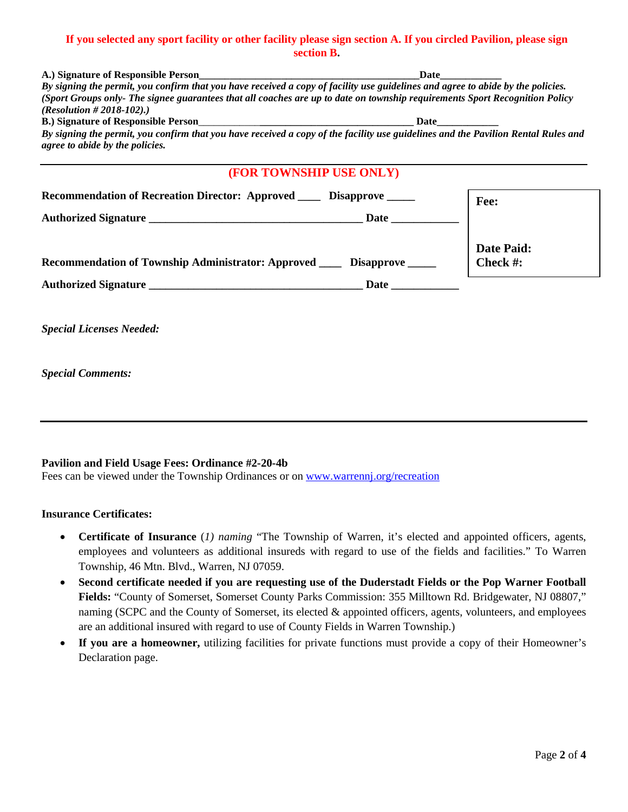#### **If you selected any sport facility or other facility please sign section A. If you circled Pavilion, please sign section B.**

| A.) Signature of Responsible Person                                                                                               | Date                    |            |
|-----------------------------------------------------------------------------------------------------------------------------------|-------------------------|------------|
| By signing the permit, you confirm that you have received a copy of facility use guidelines and agree to abide by the policies.   |                         |            |
| (Sport Groups only-The signee guarantees that all coaches are up to date on township requirements Sport Recognition Policy        |                         |            |
| ( <i>Resolution # 2018-102</i> ).)                                                                                                |                         |            |
| By signing the permit, you confirm that you have received a copy of the facility use guidelines and the Pavilion Rental Rules and |                         |            |
| agree to abide by the policies.                                                                                                   |                         |            |
|                                                                                                                                   |                         |            |
|                                                                                                                                   | (FOR TOWNSHIP USE ONLY) |            |
| Recommendation of Recreation Director: Approved _____ Disapprove _____                                                            |                         | Fee:       |
|                                                                                                                                   |                         |            |
|                                                                                                                                   |                         | Date Paid: |
| Recommendation of Township Administrator: Approved ______ Disapprove _____                                                        |                         | Check #:   |
|                                                                                                                                   |                         |            |
|                                                                                                                                   |                         |            |
| <b>Special Licenses Needed:</b>                                                                                                   |                         |            |
|                                                                                                                                   |                         |            |
| <b>Special Comments:</b>                                                                                                          |                         |            |

#### **Pavilion and Field Usage Fees: Ordinance #2-20-4b**

Fees can be viewed under the Township Ordinances or on [www.warrennj.org/recreation](http://www.warrennj.org/recreation)

#### **Insurance Certificates:**

- **Certificate of Insurance** (*1) naming* "The Township of Warren, it's elected and appointed officers, agents, employees and volunteers as additional insureds with regard to use of the fields and facilities." To Warren Township, 46 Mtn. Blvd., Warren, NJ 07059.
- **Second certificate needed if you are requesting use of the Duderstadt Fields or the Pop Warner Football Fields:** "County of Somerset, Somerset County Parks Commission: 355 Milltown Rd. Bridgewater, NJ 08807," naming (SCPC and the County of Somerset, its elected & appointed officers, agents, volunteers, and employees are an additional insured with regard to use of County Fields in Warren Township.)
- **If you are a homeowner,** utilizing facilities for private functions must provide a copy of their Homeowner's Declaration page.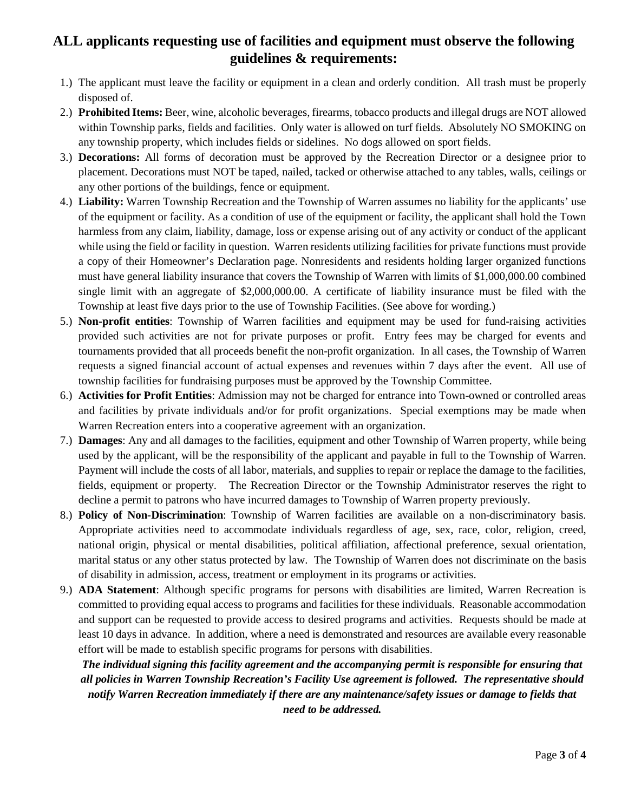# **ALL applicants requesting use of facilities and equipment must observe the following guidelines & requirements:**

- 1.) The applicant must leave the facility or equipment in a clean and orderly condition. All trash must be properly disposed of.
- 2.) **Prohibited Items:** Beer, wine, alcoholic beverages, firearms, tobacco products and illegal drugs are NOT allowed within Township parks, fields and facilities. Only water is allowed on turf fields. Absolutely NO SMOKING on any township property, which includes fields or sidelines. No dogs allowed on sport fields.
- 3.) **Decorations:** All forms of decoration must be approved by the Recreation Director or a designee prior to placement. Decorations must NOT be taped, nailed, tacked or otherwise attached to any tables, walls, ceilings or any other portions of the buildings, fence or equipment.
- 4.) **Liability:** Warren Township Recreation and the Township of Warren assumes no liability for the applicants' use of the equipment or facility. As a condition of use of the equipment or facility, the applicant shall hold the Town harmless from any claim, liability, damage, loss or expense arising out of any activity or conduct of the applicant while using the field or facility in question. Warren residents utilizing facilities for private functions must provide a copy of their Homeowner's Declaration page. Nonresidents and residents holding larger organized functions must have general liability insurance that covers the Township of Warren with limits of \$1,000,000.00 combined single limit with an aggregate of \$2,000,000.00. A certificate of liability insurance must be filed with the Township at least five days prior to the use of Township Facilities. (See above for wording.)
- 5.) **Non-profit entities**: Township of Warren facilities and equipment may be used for fund-raising activities provided such activities are not for private purposes or profit. Entry fees may be charged for events and tournaments provided that all proceeds benefit the non-profit organization. In all cases, the Township of Warren requests a signed financial account of actual expenses and revenues within 7 days after the event. All use of township facilities for fundraising purposes must be approved by the Township Committee.
- 6.) **Activities for Profit Entities**: Admission may not be charged for entrance into Town-owned or controlled areas and facilities by private individuals and/or for profit organizations. Special exemptions may be made when Warren Recreation enters into a cooperative agreement with an organization.
- 7.) **Damages**: Any and all damages to the facilities, equipment and other Township of Warren property, while being used by the applicant, will be the responsibility of the applicant and payable in full to the Township of Warren. Payment will include the costs of all labor, materials, and supplies to repair or replace the damage to the facilities, fields, equipment or property. The Recreation Director or the Township Administrator reserves the right to decline a permit to patrons who have incurred damages to Township of Warren property previously.
- 8.) **Policy of Non-Discrimination**: Township of Warren facilities are available on a non-discriminatory basis. Appropriate activities need to accommodate individuals regardless of age, sex, race, color, religion, creed, national origin, physical or mental disabilities, political affiliation, affectional preference, sexual orientation, marital status or any other status protected by law. The Township of Warren does not discriminate on the basis of disability in admission, access, treatment or employment in its programs or activities.
- 9.) **ADA Statement**: Although specific programs for persons with disabilities are limited, Warren Recreation is committed to providing equal access to programs and facilities for these individuals. Reasonable accommodation and support can be requested to provide access to desired programs and activities. Requests should be made at least 10 days in advance. In addition, where a need is demonstrated and resources are available every reasonable effort will be made to establish specific programs for persons with disabilities.

*The individual signing this facility agreement and the accompanying permit is responsible for ensuring that all policies in Warren Township Recreation's Facility Use agreement is followed. The representative should notify Warren Recreation immediately if there are any maintenance/safety issues or damage to fields that need to be addressed.*